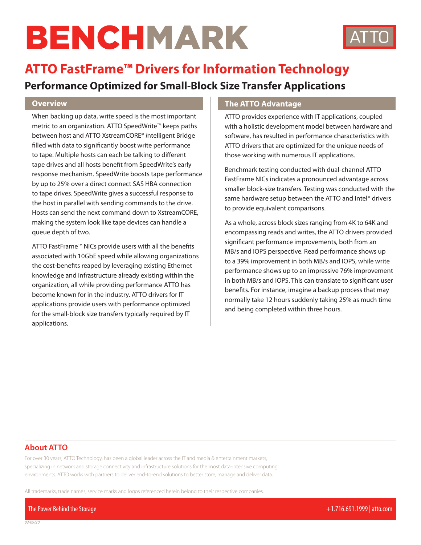# BENCHMARK



## **ATTO FastFrame™ Drivers for Information Technology**

### **Performance Optimized for Small-Block Size Transfer Applications**

#### **Overview**

When backing up data, write speed is the most important metric to an organization. ATTO SpeedWrite™ keeps paths between host and ATTO XstreamCORE® *i*ntelligent Bridge filled with data to significantly boost write performance to tape. Multiple hosts can each be talking to different tape drives and all hosts benefit from SpeedWrite's early response mechanism. SpeedWrite boosts tape performance by up to 25% over a direct connect SAS HBA connection to tape drives. SpeedWrite gives a successful response to the host in parallel with sending commands to the drive. Hosts can send the next command down to XstreamCORE, making the system look like tape devices can handle a queue depth of two.

ATTO FastFrame™ NICs provide users with all the benefits associated with 10GbE speed while allowing organizations the cost-benefits reaped by leveraging existing Ethernet knowledge and infrastructure already existing within the organization, all while providing performance ATTO has become known for in the industry. ATTO drivers for IT applications provide users with performance optimized for the small-block size transfers typically required by IT applications.

#### **The ATTO Advantage**

ATTO provides experience with IT applications, coupled with a holistic development model between hardware and software, has resulted in performance characteristics with ATTO drivers that are optimized for the unique needs of those working with numerous IT applications.

Benchmark testing conducted with dual-channel ATTO FastFrame NICs indicates a pronounced advantage across smaller block-size transfers. Testing was conducted with the same hardware setup between the ATTO and Intel® drivers to provide equivalent comparisons.

As a whole, across block sizes ranging from 4K to 64K and encompassing reads and writes, the ATTO drivers provided significant performance improvements, both from an MB/s and IOPS perspective. Read performance shows up to a 39% improvement in both MB/s and IOPS, while write performance shows up to an impressive 76% improvement in both MB/s and IOPS. This can translate to significant user benefits. For instance, imagine a backup process that may normally take 12 hours suddenly taking 25% as much time and being completed within three hours.

#### **About ATTO**

*03/09/20*

For over 30 years, ATTO Technology, has been a global leader across the IT and media & entertainment markets, specializing in network and storage connectivity and infrastructure solutions for the most data-intensive computing environments. ATTO works with partners to deliver end-to-end solutions to better store, manage and deliver data.

All trademarks, trade names, service marks and logos referenced herein belong to their respective companies.

The Power Behind the Storage +1.716.691.1999 | atto.com